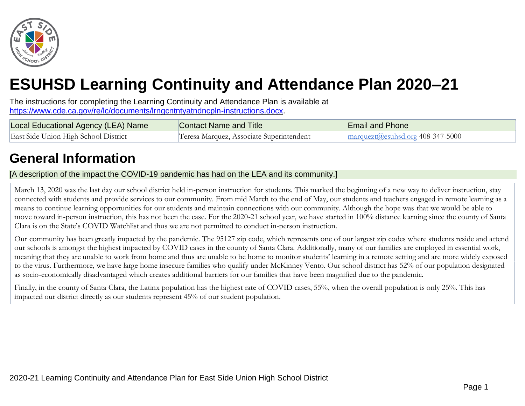

# **ESUHSD Learning Continuity and Attendance Plan 2020–21**

The instructions for completing the Learning Continuity and Attendance Plan is available at [https://www.cde.ca.gov/re/lc/documents/lrngcntntyatndncpln-instructions.docx.](https://www.cde.ca.gov/re/lc/documents/lrngcntntyatndncpln-instructions.docx)

| Local Educational Agency (LEA) Name  | Contact Name and Title                   | Email and Phone                                            |
|--------------------------------------|------------------------------------------|------------------------------------------------------------|
| East Side Union High School District | Teresa Marquez, Associate Superintendent | $\frac{1}{2}$ marquezt( <i>a</i> ) esubsd.org 408-347-5000 |

## **General Information**

[A description of the impact the COVID-19 pandemic has had on the LEA and its community.]

March 13, 2020 was the last day our school district held in-person instruction for students. This marked the beginning of a new way to deliver instruction, stay connected with students and provide services to our community. From mid March to the end of May, our students and teachers engaged in remote learning as a means to continue learning opportunities for our students and maintain connections with our community. Although the hope was that we would be able to move toward in-person instruction, this has not been the case. For the 2020-21 school year, we have started in 100% distance learning since the county of Santa Clara is on the State's COVID Watchlist and thus we are not permitted to conduct in-person instruction.

Our community has been greatly impacted by the pandemic. The 95127 zip code, which represents one of our largest zip codes where students reside and attend our schools is amongst the highest impacted by COVID cases in the county of Santa Clara. Additionally, many of our families are employed in essential work, meaning that they are unable to work from home and thus are unable to be home to monitor students' learning in a remote setting and are more widely exposed to the virus. Furthermore, we have large home insecure families who qualify under McKinney Vento. Our school district has 52% of our population designated as socio-economically disadvantaged which creates additional barriers for our families that have been magnified due to the pandemic.

Finally, in the county of Santa Clara, the Latinx population has the highest rate of COVID cases, 55%, when the overall population is only 25%. This has impacted our district directly as our students represent 45% of our student population.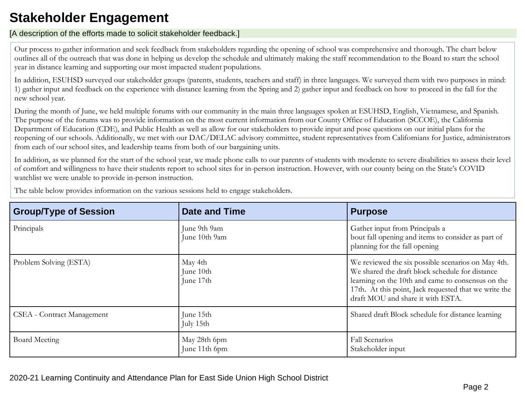## **Stakeholder Engagement**

#### [A description of the efforts made to solicit stakeholder feedback.]

Our process to gather information and seek feedback from stakeholders regarding the opening of school was comprehensive and thorough. The chart below outlines all of the outreach that was done in helping us develop the schedule and ultimately making the staff recommendation to the Board to start the school year in distance learning and supporting our most impacted student populations.

In addition, ESUHSD surveyed our stakeholder groups (parents, students, teachers and staff) in three languages. We surveyed them with two purposes in mind: 1) gather input and feedback on the experience with distance learning from the Spring and 2) gather input and feedback on how to proceed in the fall for the new school year.

During the month of June, we held multiple forums with our community in the main three languages spoken at ESUHSD, English, Vietnamese, and Spanish. The purpose of the forums was to provide information on the most current information from our County Office of Education (SCCOE), the California Department of Education (CDE), and Public Health as well as allow for our stakeholders to provide input and pose questions on our initial plans for the reopening of our schools. Additionally, we met with our DAC/DELAC advisory committee, student representatives from Californians for Justice, administrators from each of our school sites, and leadership teams from both of our bargaining units.

In addition, as we planned for the start of the school year, we made phone calls to our parents of students with moderate to severe disabilities to assess their level of comfort and willingness to have their students report to school sites for in-person instruction. However, with our county being on the State's COVID watchlist we were unable to provide in-person instruction.

| <b>Group/Type of Session</b>      | <b>Date and Time</b>              | <b>Purpose</b>                                                                                                                                                                                                                                           |
|-----------------------------------|-----------------------------------|----------------------------------------------------------------------------------------------------------------------------------------------------------------------------------------------------------------------------------------------------------|
| Principals                        | June 9th 9am<br>June 10th 9am     | Gather input from Principals a<br>bout fall opening and items to consider as part of<br>planning for the fall opening                                                                                                                                    |
| Problem Solving (ESTA)            | May 4th<br>June 10th<br>June 17th | We reviewed the six possible scenarios on May 4th.<br>We shared the draft block schedule for distance<br>learning on the 10th and came to consensus on the<br>17th. At this point, Jack requested that we write the<br>draft MOU and share it with ESTA. |
| <b>CSEA</b> - Contract Management | June 15th<br>July 15th            | Shared draft Block schedule for distance learning                                                                                                                                                                                                        |
| Board Meeting                     | May 28th 6pm<br>June 11th 6pm     | <b>Fall Scenarios</b><br>Stakeholder input                                                                                                                                                                                                               |

The table below provides information on the various sessions held to engage stakeholders.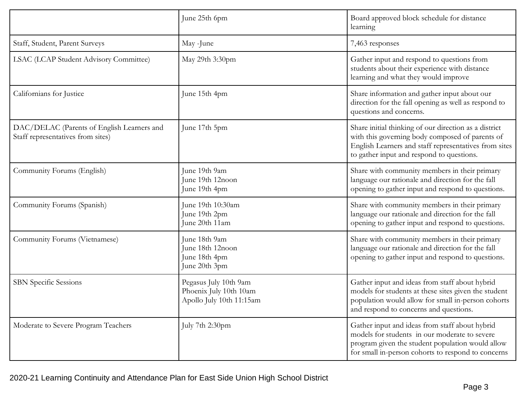|                                                                                 | June 25th 6pm                                                               | Board approved block schedule for distance<br>learning                                                                                                                                                         |
|---------------------------------------------------------------------------------|-----------------------------------------------------------------------------|----------------------------------------------------------------------------------------------------------------------------------------------------------------------------------------------------------------|
| Staff, Student, Parent Surveys                                                  | May -June                                                                   | 7,463 responses                                                                                                                                                                                                |
| LSAC (LCAP Student Advisory Committee)                                          | May 29th 3:30pm                                                             | Gather input and respond to questions from<br>students about their experience with distance<br>learning and what they would improve                                                                            |
| Californians for Justice                                                        | June 15th 4pm                                                               | Share information and gather input about our<br>direction for the fall opening as well as respond to<br>questions and concerns.                                                                                |
| DAC/DELAC (Parents of English Learners and<br>Staff representatives from sites) | June 17th 5pm                                                               | Share initial thinking of our direction as a district<br>with this governing body composed of parents of<br>English Learners and staff representatives from sites<br>to gather input and respond to questions. |
| Community Forums (English)                                                      | June 19th 9am<br>June 19th 12noon<br>June 19th 4pm                          | Share with community members in their primary<br>language our rationale and direction for the fall<br>opening to gather input and respond to questions.                                                        |
| Community Forums (Spanish)                                                      | June 19th 10:30am<br>June 19th 2pm<br>June 20th 11am                        | Share with community members in their primary<br>language our rationale and direction for the fall<br>opening to gather input and respond to questions.                                                        |
| Community Forums (Vietnamese)                                                   | June 18th 9am<br>June 18th 12noon<br>June 18th 4pm<br>June 20th 3pm         | Share with community members in their primary<br>language our rationale and direction for the fall<br>opening to gather input and respond to questions.                                                        |
| <b>SBN</b> Specific Sessions                                                    | Pegasus July 10th 9am<br>Phoenix July 10th 10am<br>Apollo July 10th 11:15am | Gather input and ideas from staff about hybrid<br>models for students at these sites given the student<br>population would allow for small in-person cohorts<br>and respond to concerns and questions.         |
| Moderate to Severe Program Teachers                                             | July 7th 2:30pm                                                             | Gather input and ideas from staff about hybrid<br>models for students in our moderate to severe<br>program given the student population would allow<br>for small in-person cohorts to respond to concerns      |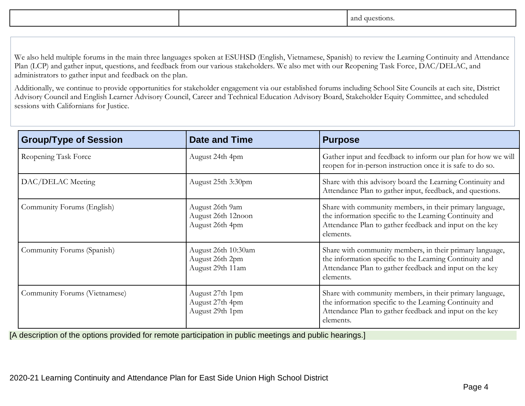|  | $\sim$<br>:ST101<br>. |
|--|-----------------------|
|  |                       |

We also held multiple forums in the main three languages spoken at ESUHSD (English, Vietnamese, Spanish) to review the Learning Continuity and Attendance Plan (LCP) and gather input, questions, and feedback from our various stakeholders. We also met with our Reopening Task Force, DAC/DELAC, and administrators to gather input and feedback on the plan.

Additionally, we continue to provide opportunities for stakeholder engagement via our established forums including School Site Councils at each site, District Advisory Council and English Learner Advisory Council, Career and Technical Education Advisory Board, Stakeholder Equity Committee, and scheduled sessions with Californians for Justice.

| <b>Group/Type of Session</b>  | <b>Date and Time</b>                                       | <b>Purpose</b>                                                                                                                                                                              |
|-------------------------------|------------------------------------------------------------|---------------------------------------------------------------------------------------------------------------------------------------------------------------------------------------------|
| Reopening Task Force          | August 24th 4pm                                            | Gather input and feedback to inform our plan for how we will<br>reopen for in-person instruction once it is safe to do so.                                                                  |
| DAC/DELAC Meeting             | August 25th 3:30pm                                         | Share with this advisory board the Learning Continuity and<br>Attendance Plan to gather input, feedback, and questions.                                                                     |
| Community Forums (English)    | August 26th 9am<br>August 26th 12noon<br>August 26th 4pm   | Share with community members, in their primary language,<br>the information specific to the Learning Continuity and<br>Attendance Plan to gather feedback and input on the key<br>elements. |
| Community Forums (Spanish)    | August 26th 10:30am<br>August 26th 2pm<br>August 29th 11am | Share with community members, in their primary language,<br>the information specific to the Learning Continuity and<br>Attendance Plan to gather feedback and input on the key<br>elements. |
| Community Forums (Vietnamese) | August 27th 1pm<br>August 27th 4pm<br>August 29th 1pm      | Share with community members, in their primary language,<br>the information specific to the Learning Continuity and<br>Attendance Plan to gather feedback and input on the key<br>elements. |

[A description of the options provided for remote participation in public meetings and public hearings.]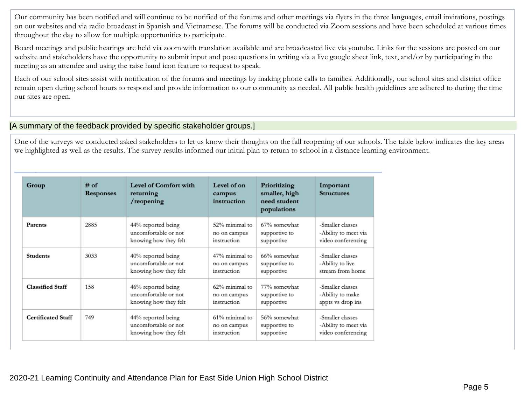Our community has been notified and will continue to be notified of the forums and other meetings via flyers in the three languages, email invitations, postings on our websites and via radio broadcast in Spanish and Vietnamese. The forums will be conducted via Zoom sessions and have been scheduled at various times throughout the day to allow for multiple opportunities to participate.

Board meetings and public hearings are held via zoom with translation available and are broadcasted live via youtube. Links for the sessions are posted on our website and stakeholders have the opportunity to submit input and pose questions in writing via a live google sheet link, text, and/or by participating in the meeting as an attendee and using the raise hand icon feature to request to speak.

Each of our school sites assist with notification of the forums and meetings by making phone calls to families. Additionally, our school sites and district office remain open during school hours to respond and provide information to our community as needed. All public health guidelines are adhered to during the time our sites are open.

#### [A summary of the feedback provided by specific stakeholder groups.]

One of the surveys we conducted asked stakeholders to let us know their thoughts on the fall reopening of our schools. The table below indicates the key areas we highlighted as well as the results. The survey results informed our initial plan to return to school in a distance learning environment.

| Group                     | $#$ of<br>Responses | Level of Comfort with<br>returning<br>/reopening                    | Level of on<br>campus<br>instruction          | Prioritizing<br>smaller, high<br>need student<br>populations | Important<br><b>Structures</b>                                 |
|---------------------------|---------------------|---------------------------------------------------------------------|-----------------------------------------------|--------------------------------------------------------------|----------------------------------------------------------------|
| Parents                   | 2885                | 44% reported being<br>uncomfortable or not<br>knowing how they felt | 52% minimal to<br>no on campus<br>instruction | 67% somewhat<br>supportive to<br>supportive                  | -Smaller classes<br>-Ability to meet via<br>video conferencing |
| <b>Students</b>           | 3033                | 40% reported being<br>uncomfortable or not<br>knowing how they felt | 47% minimal to<br>no on campus<br>instruction | 66% somewhat<br>supportive to<br>supportive                  | -Smaller classes<br>-Ability to live<br>stream from home       |
| <b>Classified Staff</b>   | 158                 | 46% reported being<br>uncomfortable or not<br>knowing how they felt | 62% minimal to<br>no on campus<br>instruction | 77% somewhat<br>supportive to<br>supportive                  | -Smaller classes<br>-Ability to make<br>appts vs drop ins      |
| <b>Certificated Staff</b> | 749                 | 44% reported being<br>uncomfortable or not<br>knowing how they felt | 61% minimal to<br>no on campus<br>instruction | 56% somewhat<br>supportive to<br>supportive                  | -Smaller classes<br>-Ability to meet via<br>video conferencing |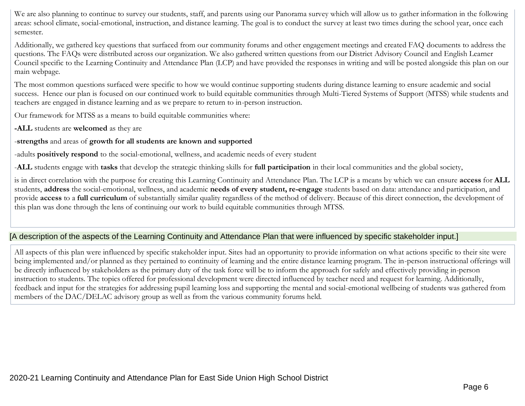We are also planning to continue to survey our students, staff, and parents using our Panorama survey which will allow us to gather information in the following areas: school climate, social-emotional, instruction, and distance learning. The goal is to conduct the survey at least two times during the school year, once each semester.

Additionally, we gathered key questions that surfaced from our community forums and other engagement meetings and created FAQ documents to address the questions. The FAQs were distributed across our organization. We also gathered written questions from our District Advisory Council and English Learner Council specific to the Learning Continuity and Attendance Plan (LCP) and have provided the responses in writing and will be posted alongside this plan on our main webpage.

The most common questions surfaced were specific to how we would continue supporting students during distance learning to ensure academic and social success. Hence our plan is focused on our continued work to build equitable communities through Multi-Tiered Systems of Support (MTSS) while students and teachers are engaged in distance learning and as we prepare to return to in-person instruction.

Our framework for MTSS as a means to build equitable communities where:

**-ALL** students are **welcomed** as they are

#### -**strengths** and areas of **growth for all students are known and supported**

-adults **positively respond** to the social-emotional, wellness, and academic needs of every student

-**ALL** students engage with **tasks** that develop the strategic thinking skills for **full participation** in their local communities and the global society,

is in direct correlation with the purpose for creating this Learning Continuity and Attendance Plan. The LCP is a means by which we can ensure **access** for **ALL** students, **address** the social-emotional, wellness, and academic **needs of every student, re-engage** students based on data: attendance and participation, and provide **access** to a **full curriculum** of substantially similar quality regardless of the method of delivery. Because of this direct connection, the development of this plan was done through the lens of continuing our work to build equitable communities through MTSS.

#### [A description of the aspects of the Learning Continuity and Attendance Plan that were influenced by specific stakeholder input.]

All aspects of this plan were influenced by specific stakeholder input. Sites had an opportunity to provide information on what actions specific to their site were being implemented and/or planned as they pertained to continuity of learning and the entire distance learning program. The in-person instructional offerings will be directly influenced by stakeholders as the primary duty of the task force will be to inform the approach for safely and effectively providing in-person instruction to students. The topics offered for professional development were directed influenced by teacher need and request for learning. Additionally, feedback and input for the strategies for addressing pupil learning loss and supporting the mental and social-emotional wellbeing of students was gathered from members of the DAC/DELAC advisory group as well as from the various community forums held.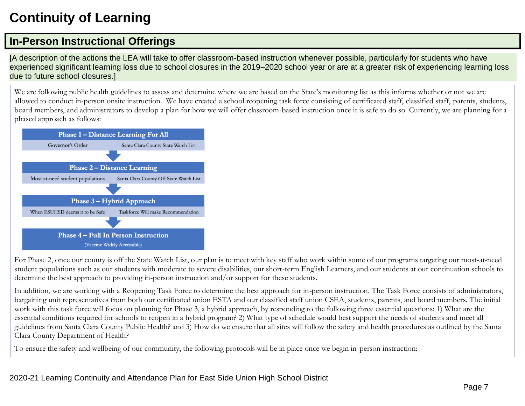## **Continuity of Learning**

## **In-Person Instructional Offerings**

[A description of the actions the LEA will take to offer classroom-based instruction whenever possible, particularly for students who have experienced significant learning loss due to school closures in the 2019–2020 school year or are at a greater risk of experiencing learning loss due to future school closures.]

We are following public health guidelines to assess and determine where we are based on the State's monitoring list as this informs whether or not we are allowed to conduct in-person onsite instruction. We have created a school reopening task force consisting of certificated staff, classified staff, parents, students, board members, and administrators to develop a plan for how we will offer classroom-based instruction once it is safe to do so. Currently, we are planning for a phased approach as follows:



For Phase 2, once our county is off the State Watch List, our plan is to meet with key staff who work within some of our programs targeting our most-at-need student populations such as our students with moderate to severe disabilities, our short-term English Learners, and our students at our continuation schools to determine the best approach to providing in-person instruction and/or support for these students.

In addition, we are working with a Reopening Task Force to determine the best approach for in-person instruction. The Task Force consists of administrators, bargaining unit representatives from both our certificated union ESTA and our classified staff union CSEA, students, parents, and board members. The initial work with this task force will focus on planning for Phase 3, a hybrid approach, by responding to the following three essential questions: 1) What are the essential conditions required for schools to reopen in a hybrid program? 2) What type of schedule would best support the needs of students and meet all guidelines from Santa Clara County Public Health? and 3) How do we ensure that all sites will follow the safety and health procedures as outlined by the Santa Clara County Department of Health?

To ensure the safety and wellbeing of our community, the following protocols will be in place once we begin in-person instruction: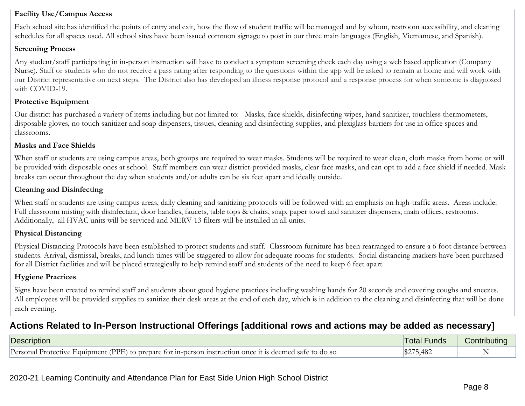#### **Facility Use/Campus Access**

Each school site has identified the points of entry and exit, how the flow of student traffic will be managed and by whom, restroom accessibility, and cleaning schedules for all spaces used. All school sites have been issued common signage to post in our three main languages (English, Vietnamese, and Spanish).

#### **Screening Process**

Any student/staff participating in in-person instruction will have to conduct a symptom screening check each day using a web based application (Company Nurse). Staff or students who do not receive a pass rating after responding to the questions within the app will be asked to remain at home and will work with our District representative on next steps. The District also has developed an illness response protocol and a response process for when someone is diagnosed with COVID-19.

#### **Protective Equipment**

Our district has purchased a variety of items including but not limited to: Masks, face shields, disinfecting wipes, hand sanitizer, touchless thermometers, disposable gloves, no touch sanitizer and soap dispensers, tissues, cleaning and disinfecting supplies, and plexiglass barriers for use in office spaces and classrooms.

#### **Masks and Face Shields**

When staff or students are using campus areas, both groups are required to wear masks. Students will be required to wear clean, cloth masks from home or will be provided with disposable ones at school. Staff members can wear district-provided masks, clear face masks, and can opt to add a face shield if needed. Mask breaks can occur throughout the day when students and/or adults can be six feet apart and ideally outside.

#### **Cleaning and Disinfecting**

When staff or students are using campus areas, daily cleaning and sanitizing protocols will be followed with an emphasis on high-traffic areas. Areas include: Full classroom misting with disinfectant, door handles, faucets, table tops & chairs, soap, paper towel and sanitizer dispensers, main offices, restrooms. Additionally, all HVAC units will be serviced and MERV 13 filters will be installed in all units.

#### **Physical Distancing**

Physical Distancing Protocols have been established to protect students and staff. Classroom furniture has been rearranged to ensure a 6 foot distance between students. Arrival, dismissal, breaks, and lunch times will be staggered to allow for adequate rooms for students. Social distancing markers have been purchased for all District facilities and will be placed strategically to help remind staff and students of the need to keep 6 feet apart.

#### **Hygiene Practices**

Signs have been created to remind staff and students about good hygiene practices including washing hands for 20 seconds and covering coughs and sneezes. All employees will be provided supplies to sanitize their desk areas at the end of each day, which is in addition to the cleaning and disinfecting that will be done each evening.

### **Actions Related to In-Person Instructional Offerings [additional rows and actions may be added as necessary]**

| Description                                                                                              | <b>Total Funds</b> | Contributing |
|----------------------------------------------------------------------------------------------------------|--------------------|--------------|
| Personal Protective Equipment (PPE) to prepare for in-person instruction once it is deemed safe to do so | 75,482             |              |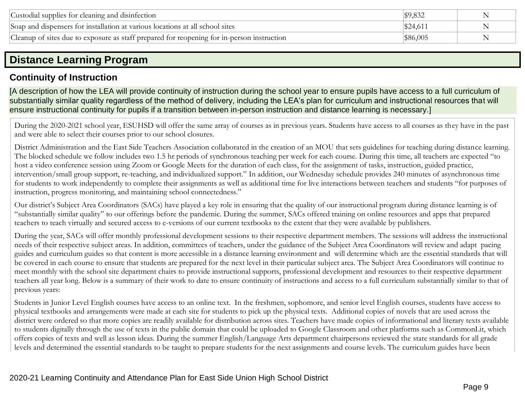| Custodial supplies for cleaning and disinfection                                           |                | N |
|--------------------------------------------------------------------------------------------|----------------|---|
| Soap and dispensers for installation at various locations at all school sites              | \$24.61        |   |
| Cleanup of sites due to exposure as staff prepared for reopening for in-person instruction | <b>S86,005</b> |   |

## **Distance Learning Program**

## **Continuity of Instruction**

[A description of how the LEA will provide continuity of instruction during the school year to ensure pupils have access to a full curriculum of substantially similar quality regardless of the method of delivery, including the LEA's plan for curriculum and instructional resources that will ensure instructional continuity for pupils if a transition between in-person instruction and distance learning is necessary.]

During the 2020-2021 school year, ESUHSD will offer the same array of courses as in previous years. Students have access to all courses as they have in the past and were able to select their courses prior to our school closures.

District Administration and the East Side Teachers Association collaborated in the creation of an MOU that sets guidelines for teaching during distance learning. The blocked schedule we follow includes two 1.5 hr periods of synchronous teaching per week for each course. During this time, all teachers are expected "to host a video conference session using Zoom or Google Meets for the duration of each class, for the assignment of tasks, instruction, guided practice, intervention/small group support, re-teaching, and individualized support." In addition, our Wednesday schedule provides 240 minutes of asynchronous time for students to work independently to complete their assignments as well as additional time for live interactions between teachers and students "for purposes of instruction, progress monitoring, and maintaining school connectedness."

Our district's Subject Area Coordinators (SACs) have played a key role in ensuring that the quality of our instructional program during distance learning is of "substantially similar quality" to our offerings before the pandemic. During the summer, SACs offered training on online resources and apps that prepared teachers to teach virtually and secured access to e-versions of our current textbooks to the extent that they were available by publishers.

During the year, SACs will offer monthly professional development sessions to their respective department members. The sessions will address the instructional needs of their respective subject areas. In addition, committees of teachers, under the guidance of the Subject Area Coordinators will review and adapt pacing guides and curriculum guides so that content is more accessible in a distance learning environment and will determine which are the essential standards that will be covered in each course to ensure that students are prepared for the next level in their particular subject area. The Subject Area Coordinators will continue to meet monthly with the school site department chairs to provide instructional supports, professional development and resources to their respective department teachers all year long. Below is a summary of their work to date to ensure continuity of instructions and access to a full curriculum substantially similar to that of previous years:

Students in Junior Level English courses have access to an online text. In the freshmen, sophomore, and senior level English courses, students have access to physical textbooks and arrangements were made at each site for students to pick up the physical texts. Additional copies of novels that are used across the district were ordered so that more copies are readily available for distribution across sites. Teachers have made copies of informational and literary texts available to students digitally through the use of texts in the public domain that could be uploaded to Google Classroom and other platforms such as CommonLit, which offers copies of texts and well as lesson ideas. During the summer English/Language Arts department chairpersons reviewed the state standards for all grade levels and determined the essential standards to be taught to prepare students for the next assignments and course levels. The curriculum guides have been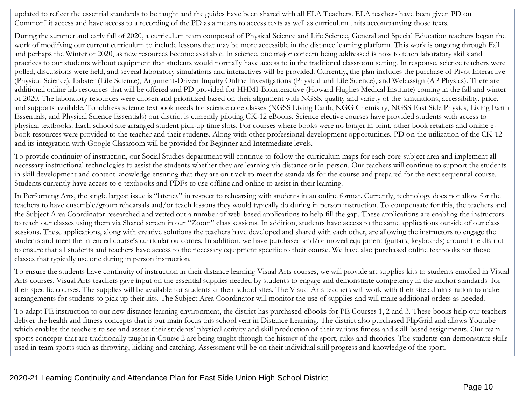updated to reflect the essential standards to be taught and the guides have been shared with all ELA Teachers. ELA teachers have been given PD on CommonLit access and have access to a recording of the PD as a means to access texts as well as curriculum units accompanying those texts.

During the summer and early fall of 2020, a curriculum team composed of Physical Science and Life Science, General and Special Education teachers began the work of modifying our current curriculum to include lessons that may be more accessible in the distance learning platform. This work is ongoing through Fall and perhaps the Winter of 2020, as new resources become available. In science, one major concern being addressed is how to teach laboratory skills and practices to our students without equipment that students would normally have access to in the traditional classroom setting. In response, science teachers were polled, discussions were held, and several laboratory simulations and interactives will be provided. Currently, the plan includes the purchase of Pivot Interactive (Physical Science), Labster (Life Science), Argument-Driven Inquiry Online Investigations (Physical and Life Science), and Webassign (AP Physics). There are additional online lab resources that will be offered and PD provided for HHMI-Biointeractive (Howard Hughes Medical Institute) coming in the fall and winter of 2020. The laboratory resources were chosen and prioritized based on their alignment with NGSS, quality and variety of the simulations, accessibility, price, and supports available. To address science textbook needs for science core classes (NGSS Living Earth, NGG Chemistry, NGSS East Side Physics, Living Earth Essentials, and Physical Science Essentials) our district is currently piloting CK-12 eBooks. Science elective courses have provided students with access to physical textbooks. Each school site arranged student pick-up time slots. For courses where books were no longer in print, other book retailers and online ebook resources were provided to the teacher and their students. Along with other professional development opportunities, PD on the utilization of the CK-12 and its integration with Google Classroom will be provided for Beginner and Intermediate levels.

To provide continuity of instruction, our Social Studies department will continue to follow the curriculum maps for each core subject area and implement all necessary instructional technologies to assist the students whether they are learning via distance or in-person. Our teachers will continue to support the students in skill development and content knowledge ensuring that they are on track to meet the standards for the course and prepared for the next sequential course. Students currently have access to e-textbooks and PDFs to use offline and online to assist in their learning.

In Performing Arts, the single largest issue is "latency" in respect to rehearsing with students in an online format. Currently, technology does not allow for the teachers to have ensemble/group rehearsals and/or teach lessons they would typically do during in person instruction. To compensate for this, the teachers and the Subject Area Coordinator researched and vetted out a number of web-based applications to help fill the gap. These applications are enabling the instructors to teach our classes using them via Shared screen in our "Zoom" class sessions. In addition, students have access to the same applications outside of our class sessions. These applications, along with creative solutions the teachers have developed and shared with each other, are allowing the instructors to engage the students and meet the intended course's curricular outcomes. In addition, we have purchased and/or moved equipment (guitars, keyboards) around the district to ensure that all students and teachers have access to the necessary equipment specific to their course. We have also purchased online textbooks for those classes that typically use one during in person instruction.

To ensure the students have continuity of instruction in their distance learning Visual Arts courses, we will provide art supplies kits to students enrolled in Visual Arts courses. Visual Arts teachers gave input on the essential supplies needed by students to engage and demonstrate competency in the anchor standards for their specific courses. The supplies will be available for students at their school sites. The Visual Arts teachers will work with their site administration to make arrangements for students to pick up their kits. The Subject Area Coordinator will monitor the use of supplies and will make additional orders as needed.

To adapt PE instruction to our new distance learning environment, the district has purchased eBooks for PE Courses 1, 2 and 3. These books help our teachers deliver the health and fitness concepts that is our main focus this school year in Distance Learning. The district also purchased FlipGrid and allows Youtube which enables the teachers to see and assess their students' physical activity and skill production of their various fitness and skill-based assignments. Our team sports concepts that are traditionally taught in Course 2 are being taught through the history of the sport, rules and theories. The students can demonstrate skills used in team sports such as throwing, kicking and catching. Assessment will be on their individual skill progress and knowledge of the sport.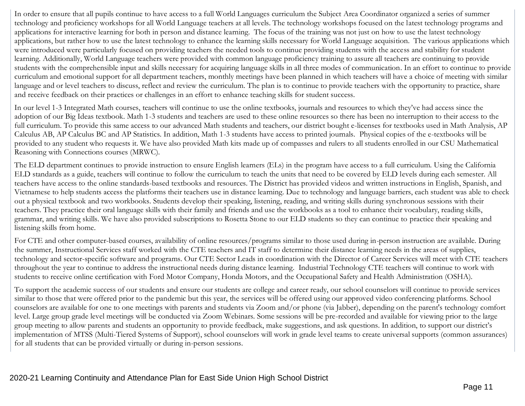In order to ensure that all pupils continue to have access to a full World Languages curriculum the Subject Area Coordinator organized a series of summer technology and proficiency workshops for all World Language teachers at all levels. The technology workshops focused on the latest technology programs and applications for interactive learning for both in person and distance learning. The focus of the training was not just on how to use the latest technology applications, but rather how to use the latest technology to enhance the learning skills necessary for World Language acquisition. The various applications which were introduced were particularly focused on providing teachers the needed tools to continue providing students with the access and stability for student learning. Additionally, World Language teachers were provided with common language proficiency training to assure all teachers are continuing to provide students with the comprehensible input and skills necessary for acquiring language skills in all three modes of communication. In an effort to continue to provide curriculum and emotional support for all department teachers, monthly meetings have been planned in which teachers will have a choice of meeting with similar language and or level teachers to discuss, reflect and review the curriculum. The plan is to continue to provide teachers with the opportunity to practice, share and receive feedback on their practices or challenges in an effort to enhance teaching skills for student success.

In our level 1-3 Integrated Math courses, teachers will continue to use the online textbooks, journals and resources to which they've had access since the adoption of our Big Ideas textbook. Math 1-3 students and teachers are used to these online resources so there has been no interruption to their access to the full curriculum. To provide this same access to our advanced Math students and teachers, our district bought e-licenses for textbooks used in Math Analysis, AP Calculus AB, AP Calculus BC and AP Statistics. In addition, Math 1-3 students have access to printed journals. Physical copies of the e-textbooks will be provided to any student who requests it. We have also provided Math kits made up of compasses and rulers to all students enrolled in our CSU Mathematical Reasoning with Connections courses (MRWC).

The ELD department continues to provide instruction to ensure English learners (ELs) in the program have access to a full curriculum. Using the California ELD standards as a guide, teachers will continue to follow the curriculum to teach the units that need to be covered by ELD levels during each semester. All teachers have access to the online standards-based textbooks and resources. The District has provided videos and written instructions in English, Spanish, and Vietnamese to help students access the platforms their teachers use in distance learning. Due to technology and language barriers, each student was able to check out a physical textbook and two workbooks. Students develop their speaking, listening, reading, and writing skills during synchronous sessions with their teachers. They practice their oral language skills with their family and friends and use the workbooks as a tool to enhance their vocabulary, reading skills, grammar, and writing skills. We have also provided subscriptions to Rosetta Stone to our ELD students so they can continue to practice their speaking and listening skills from home.

For CTE and other computer-based courses, availability of online resources/programs similar to those used during in-person instruction are available. During the summer, Instructional Services staff worked with the CTE teachers and IT staff to determine their distance learning needs in the areas of supplies, technology and sector-specific software and programs. Our CTE Sector Leads in coordination with the Director of Career Services will meet with CTE teachers throughout the year to continue to address the instructional needs during distance learning. Industrial Technology CTE teachers will continue to work with students to receive online certification with Ford Motor Company, Honda Motors, and the Occupational Safety and Health Administration (OSHA).

To support the academic success of our students and ensure our students are college and career ready, our school counselors will continue to provide services similar to those that were offered prior to the pandemic but this year, the services will be offered using our approved video conferencing platforms. School counselors are available for one to one meetings with parents and students via Zoom and/or phone (via Jabber), depending on the parent's technology comfort level. Large group grade level meetings will be conducted via Zoom Webinars. Some sessions will be pre-recorded and available for viewing prior to the large group meeting to allow parents and students an opportunity to provide feedback, make suggestions, and ask questions. In addition, to support our district's implementation of MTSS (Multi-Tiered Systems of Support), school counselors will work in grade level teams to create universal supports (common assurances) for all students that can be provided virtually or during in-person sessions.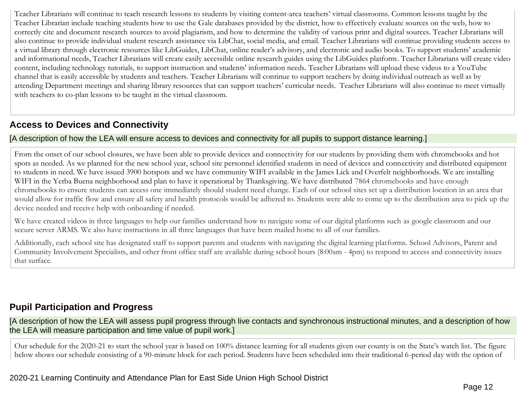Teacher Librarians will continue to teach research lessons to students by visiting content-area teachers' virtual classrooms. Common lessons taught by the Teacher Librarian include teaching students how to use the Gale databases provided by the district, how to effectively evaluate sources on the web, how to correctly cite and document research sources to avoid plagiarism, and how to determine the validity of various print and digital sources. Teacher Librarians will also continue to provide individual student research assistance via LibChat, social media, and email. Teacher Librarians will continue providing students access to a virtual library through electronic resources like LibGuides, LibChat, online reader's advisory, and electronic and audio books. To support students' academic and informational needs, Teacher Librarians will create easily accessible online research guides using the LibGuides platform. Teacher Librarians will create video content, including technology tutorials, to support instruction and students' information needs. Teacher Librarians will upload these videos to a YouTube channel that is easily accessible by students and teachers. Teacher Librarians will continue to support teachers by doing individual outreach as well as by attending Department meetings and sharing library resources that can support teachers' curricular needs. Teacher Librarians will also continue to meet virtually with teachers to co-plan lessons to be taught in the virtual classroom.

## **Access to Devices and Connectivity**

#### [A description of how the LEA will ensure access to devices and connectivity for all pupils to support distance learning.]

From the onset of our school closures, we have been able to provide devices and connectivity for our students by providing them with chromebooks and hot spots as needed. As we planned for the new school year, school site personnel identified students in need of devices and connectivity and distributed equipment to students in need. We have issued 3900 hotspots and we have community WIFI available in the James Lick and Overfelt neighborhoods. We are installing WIFI in the Yerba Buena neighborhood and plan to have it operational by Thanksgiving. We have distributed 7864 chromebooks and have enough chromebooks to ensure students can access one immediately should student need change. Each of our school sites set up a distribution location in an area that would allow for traffic flow and ensure all safety and health protocols would be adhered to. Students were able to come up to the distribution area to pick up the device needed and receive help with onboarding if needed.

We have created videos in three languages to help our families understand how to navigate some of our digital platforms such as google classroom and our secure server ARMS. We also have instructions in all three languages that have been mailed home to all of our families.

Additionally, each school site has designated staff to support parents and students with navigating the digital learning platforms. School Advisors, Parent and Community Involvement Specialists, and other front office staff are available during school hours (8:00am - 4pm) to respond to access and connectivity issues that surface.

### **Pupil Participation and Progress**

[A description of how the LEA will assess pupil progress through live contacts and synchronous instructional minutes, and a description of how the LEA will measure participation and time value of pupil work.]

Our schedule for the 2020-21 to start the school year is based on 100% distance learning for all students given our county is on the State's watch list. The figure below shows our schedule consisting of a 90-minute block for each period. Students have been scheduled into their traditional 6-period day with the option of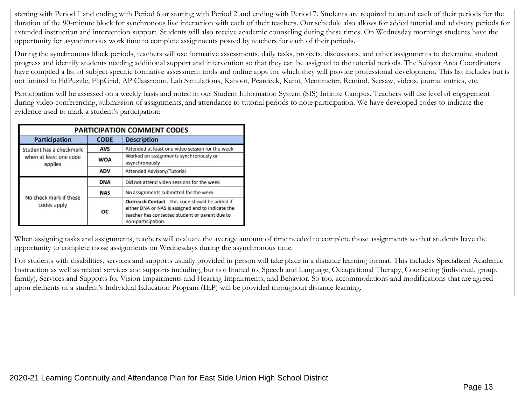starting with Period 1 and ending with Period 6 or starting with Period 2 and ending with Period 7. Students are required to attend each of their periods for the duration of the 90-minute block for synchronous live interaction with each of their teachers. Our schedule also allows for added tutorial and advisory periods for extended instruction and intervention support. Students will also receive academic counseling during these times. On Wednesday mornings students have the opportunity for asynchronous work time to complete assignments posted by teachers for each of their periods.

During the synchronous block periods, teachers will use formative assessments, daily tasks, projects, discussions, and other assignments to determine student progress and identify students needing additional support and intervention so that they can be assigned to the tutorial periods. The Subject Area Coordinators have compiled a list of subject specific formative assessment tools and online apps for which they will provide professional development. This list includes but is not limited to EdPuzzle, FlipGrid, AP Classroom, Lab Simulations, Kahoot, Peardeck, Kami, Mentimeter, Remind, Seesaw, videos, journal entries, etc.

Participation will be assessed on a weekly basis and noted in our Student Information System (SIS) Infinite Campus. Teachers will use level of engagement during video conferencing, submission of assignments, and attendance to tutorial periods to note participation. We have developed codes to indicate the evidence used to mark a student's participation:

| <b>PARTICIPATION COMMENT CODES</b>    |             |                                                                                                                                                                              |  |
|---------------------------------------|-------------|------------------------------------------------------------------------------------------------------------------------------------------------------------------------------|--|
| <b>Participation</b>                  | <b>CODE</b> | <b>Description</b>                                                                                                                                                           |  |
| Student has a checkmark               | <b>AVS</b>  | Attended at least one video session for the week                                                                                                                             |  |
| when at least one code<br>applies     | <b>WOA</b>  | Worked on assignments synchronously or<br>asynchronously                                                                                                                     |  |
|                                       | <b>ADV</b>  | Attended Advisory/Tutorial                                                                                                                                                   |  |
|                                       | <b>DNA</b>  | Did not attend video sessions for the week                                                                                                                                   |  |
|                                       | <b>NAS</b>  | No assignments submitted for the week                                                                                                                                        |  |
| No check mark if these<br>codes apply | <b>OC</b>   | Outreach Contact - This code should be added if<br>either DNA or NAS is assigned and to indicate the<br>teacher has contacted student or parent due to<br>non-participation. |  |

When assigning tasks and assignments, teachers will evaluate the average amount of time needed to complete those assignments so that students have the opportunity to complete those assignments on Wednesdays during the asynchronous time.

For students with disabilities, services and supports usually provided in person will take place in a distance learning format. This includes Specialized Academic Instruction as well as related services and supports including, but not limited to, Speech and Language, Occupational Therapy, Counseling (individual, group, family), Services and Supports for Vision Impairments and Hearing Impairments, and Behavior. So too, accommodations and modifications that are agreed upon elements of a student's Individual Education Program (IEP) will be provided throughout distance learning.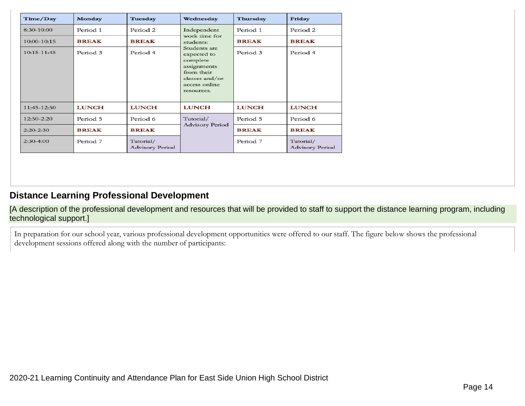| Time/Day       | Monday       | Tuesday                      | Wednesday                                                                                                             | Thursday     | Friday                              |
|----------------|--------------|------------------------------|-----------------------------------------------------------------------------------------------------------------------|--------------|-------------------------------------|
| 8:30-10:00     | Period 1     | Period 2                     | Independent<br>work time for                                                                                          | Period 1     | Period 2                            |
| 10:00-10:15    | <b>BREAK</b> | <b>BREAK</b>                 | students:                                                                                                             | <b>BREAK</b> | <b>BREAK</b>                        |
| $10:15-11:45$  | Period 3     | Period 4                     | Students are<br>expected to<br>complete<br>assignments<br>from their<br>classes and/or<br>access online<br>resources. | Period 3     | Period 4                            |
| 11:45-12:50    | <b>LUNCH</b> | <b>LUNCH</b>                 | <b>LUNCH</b>                                                                                                          | <b>LUNCH</b> | <b>LUNCH</b>                        |
| $12:50 - 2:20$ | Period 5     | Period 6                     | Tutorial/                                                                                                             | Period 5     | Period 6                            |
| $2:20-2:30$    | <b>BREAK</b> | <b>BREAK</b>                 | <b>Advisory Period</b>                                                                                                | <b>BREAK</b> | <b>BREAK</b>                        |
| $2:30-4:00$    | Period 7     | Tutorial/<br>Advisory Period |                                                                                                                       | Period 7     | Tutorial/<br><b>Advisory Period</b> |

## **Distance Learning Professional Development**

[A description of the professional development and resources that will be provided to staff to support the distance learning program, including technological support.]

In preparation for our school year, various professional development opportunities were offered to our staff. The figure below shows the professional development sessions offered along with the number of participants: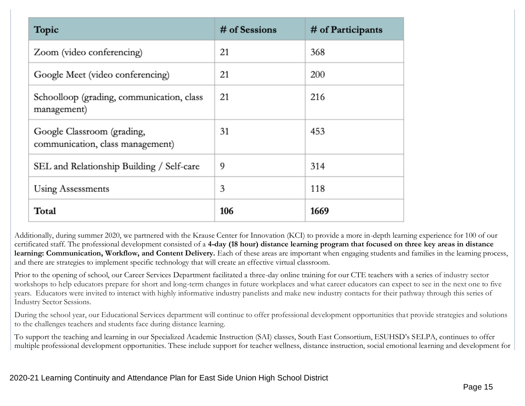| Topic                                                          | # of Sessions | # of Participants |
|----------------------------------------------------------------|---------------|-------------------|
| Zoom (video conferencing)                                      | 21            | 368               |
| Google Meet (video conferencing)                               | 21            | 200               |
| Schoolloop (grading, communication, class<br>management)       | 21            | 216               |
| Google Classroom (grading,<br>communication, class management) | 31            | 453               |
| SEL and Relationship Building / Self-care                      | 9             | 314               |
| Using Assessments                                              | 3             | 118               |
| Total                                                          | 106           | 1669              |

Additionally, during summer 2020, we partnered with the Krause Center for Innovation (KCI) to provide a more in-depth learning experience for 100 of our certificated staff. The professional development consisted of a **4-day (18 hour) distance learning program that focused on three key areas in distance learning: Communication, Workflow, and Content Delivery.** Each of these areas are important when engaging students and families in the learning process, and there are strategies to implement specific technology that will create an effective virtual classroom.

Prior to the opening of school, our Career Services Department facilitated a three-day online training for our CTE teachers with a series of industry sector workshops to help educators prepare for short and long-term changes in future workplaces and what career educators can expect to see in the next one to five years. Educators were invited to interact with highly informative industry panelists and make new industry contacts for their pathway through this series of Industry Sector Sessions.

During the school year, our Educational Services department will continue to offer professional development opportunities that provide strategies and solutions to the challenges teachers and students face during distance learning.

To support the teaching and learning in our Specialized Academic Instruction (SAI) classes, South East Consortium, ESUHSD's SELPA, continues to offer multiple professional development opportunities. These include support for teacher wellness, distance instruction, social emotional learning and development for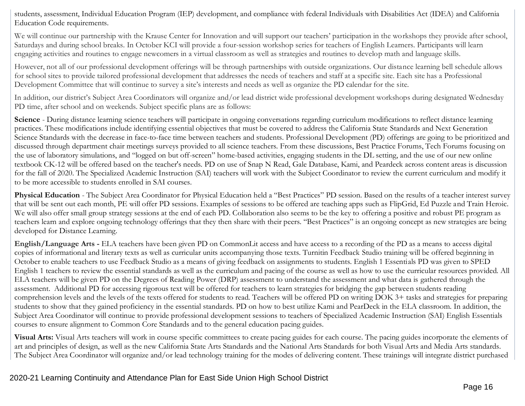students, assessment, Individual Education Program (IEP) development, and compliance with federal Individuals with Disabilities Act (IDEA) and California Education Code requirements.

We will continue our partnership with the Krause Center for Innovation and will support our teachers' participation in the workshops they provide after school, Saturdays and during school breaks. In October KCI will provide a four-session workshop series for teachers of English Learners. Participants will learn engaging activities and routines to engage newcomers in a virtual classroom as well as strategies and routines to develop math and language skills.

However, not all of our professional development offerings will be through partnerships with outside organizations. Our distance learning bell schedule allows for school sites to provide tailored professional development that addresses the needs of teachers and staff at a specific site. Each site has a Professional Development Committee that will continue to survey a site's interests and needs as well as organize the PD calendar for the site.

In addition, our district's Subject Area Coordinators will organize and/or lead district wide professional development workshops during designated Wednesday PD time, after school and on weekends. Subject specific plans are as follows:

Science - During distance learning science teachers will participate in ongoing conversations regarding curriculum modifications to reflect distance learning practices. These modifications include identifying essential objectives that must be covered to address the California State Standards and Next Generation Science Standards with the decrease in face-to-face time between teachers and students. Professional Development (PD) offerings are going to be prioritized and discussed through department chair meetings surveys provided to all science teachers. From these discussions, Best Practice Forums, Tech Forums focusing on the use of laboratory simulations, and "logged on but off-screen" home-based activities, engaging students in the DL setting, and the use of our new online textbook CK-12 will be offered based on the teacher's needs. PD on use of Snap N Read, Gale Database, Kami, and Peardeck across content areas is discussion for the fall of 2020. The Specialized Academic Instruction (SAI) teachers will work with the Subject Coordinator to review the current curriculum and modify it to be more accessible to students enrolled in SAI courses.

**Physical Education** - The Subject Area Coordinator for Physical Education held a "Best Practices" PD session. Based on the results of a teacher interest survey that will be sent out each month, PE will offer PD sessions. Examples of sessions to be offered are teaching apps such as FlipGrid, Ed Puzzle and Train Heroic. We will also offer small group strategy sessions at the end of each PD. Collaboration also seems to be the key to offering a positive and robust PE program as teachers learn and explore ongoing technology offerings that they then share with their peers. "Best Practices" is an ongoing concept as new strategies are being developed for Distance Learning.

**English/Language Arts -** ELA teachers have been given PD on CommonLit access and have access to a recording of the PD as a means to access digital copies of informational and literary texts as well as curricular units accompanying those texts. Turnitin Feedback Studio training will be offered beginning in October to enable teachers to use Feedback Studio as a means of giving feedback on assignments to students. English 1 Essentials PD was given to SPED English 1 teachers to review the essential standards as well as the curriculum and pacing of the course as well as how to use the curricular resources provided. All ELA teachers will be given PD on the Degrees of Reading Power (DRP) assessment to understand the assessment and what data is gathered through the assessment. Additional PD for accessing rigorous text will be offered for teachers to learn strategies for bridging the gap between students reading comprehension levels and the levels of the texts offered for students to read. Teachers will be offered PD on writing DOK 3+ tasks and strategies for preparing students to show that they gained proficiency in the essential standards. PD on how to best utilize Kami and PearDeck in the ELA classroom. In addition, the Subject Area Coordinator will continue to provide professional development sessions to teachers of Specialized Academic Instruction (SAI) English Essentials courses to ensure alignment to Common Core Standards and to the general education pacing guides.

**Visual Arts:** Visual Arts teachers will work in course specific committees to create pacing guides for each course. The pacing guides incorporate the elements of art and principles of design, as well as the new California State Arts Standards and the National Arts Standards for both Visual Arts and Media Arts standards. The Subject Area Coordinator will organize and/or lead technology training for the modes of delivering content. These trainings will integrate district purchased

#### 2020-21 Learning Continuity and Attendance Plan for East Side Union High School District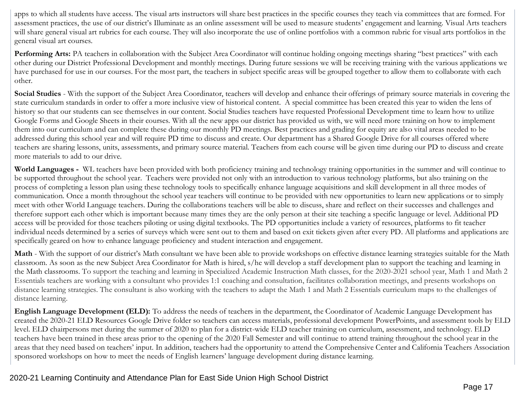apps to which all students have access. The visual arts instructors will share best practices in the specific courses they teach via committees that are formed. For assessment practices, the use of our district's Illuminate as an online assessment will be used to measure students' engagement and learning. Visual Arts teachers will share general visual art rubrics for each course. They will also incorporate the use of online portfolios with a common rubric for visual arts portfolios in the general visual art courses.

Performing Arts: PA teachers in collaboration with the Subject Area Coordinator will continue holding ongoing meetings sharing "best practices" with each other during our District Professional Development and monthly meetings. During future sessions we will be receiving training with the various applications we have purchased for use in our courses. For the most part, the teachers in subject specific areas will be grouped together to allow them to collaborate with each other.

Social Studies - With the support of the Subject Area Coordinator, teachers will develop and enhance their offerings of primary source materials in covering the state curriculum standards in order to offer a more inclusive view of historical content. A special committee has been created this year to widen the lens of history so that our students can see themselves in our content. Social Studies teachers have requested Professional Development time to learn how to utilize Google Forms and Google Sheets in their courses. With all the new apps our district has provided us with, we will need more training on how to implement them into our curriculum and can complete these during our monthly PD meetings. Best practices and grading for equity are also vital areas needed to be addressed during this school year and will require PD time to discuss and create. Our department has a Shared Google Drive for all courses offered where teachers are sharing lessons, units, assessments, and primary source material. Teachers from each course will be given time during our PD to discuss and create more materials to add to our drive.

**World Languages -** WL teachers have been provided with both proficiency training and technology training opportunities in the summer and will continue to be supported throughout the school year. Teachers were provided not only with an introduction to various technology platforms, but also training on the process of completing a lesson plan using these technology tools to specifically enhance language acquisitions and skill development in all three modes of communication. Once a month throughout the school year teachers will continue to be provided with new opportunities to learn new applications or to simply meet with other World Language teachers. During the collaborations teachers will be able to discuss, share and reflect on their successes and challenges and therefore support each other which is important because many times they are the only person at their site teaching a specific language or level. Additional PD access will be provided for those teachers piloting or using digital textbooks. The PD opportunities include a variety of resources, platforms to fit teacher individual needs determined by a series of surveys which were sent out to them and based on exit tickets given after every PD. All platforms and applications are specifically geared on how to enhance language proficiency and student interaction and engagement.

Math - With the support of our district's Math consultant we have been able to provide workshops on effective distance learning strategies suitable for the Math classroom. As soon as the new Subject Area Coordinator for Math is hired, s/he will develop a staff development plan to support the teaching and learning in the Math classrooms. To support the teaching and learning in Specialized Academic Instruction Math classes, for the 2020-2021 school year, Math 1 and Math 2 Essentials teachers are working with a consultant who provides 1:1 coaching and consultation, facilitates collaboration meetings, and presents workshops on distance learning strategies. The consultant is also working with the teachers to adapt the Math 1 and Math 2 Essentials curriculum maps to the challenges of distance learning.

**English Language Development (ELD):** To address the needs of teachers in the department, the Coordinator of Academic Language Development has created the 2020-21 ELD Resources Google Drive folder so teachers can access materials, professional development PowerPoints, and assessment tools by ELD level. ELD chairpersons met during the summer of 2020 to plan for a district-wide ELD teacher training on curriculum, assessment, and technology. ELD teachers have been trained in these areas prior to the opening of the 2020 Fall Semester and will continue to attend training throughout the school year in the areas that they need based on teachers' input. In addition, teachers had the opportunity to attend the Comprehensive Center and California Teachers Association sponsored workshops on how to meet the needs of English learners' language development during distance learning.

#### 2020-21 Learning Continuity and Attendance Plan for East Side Union High School District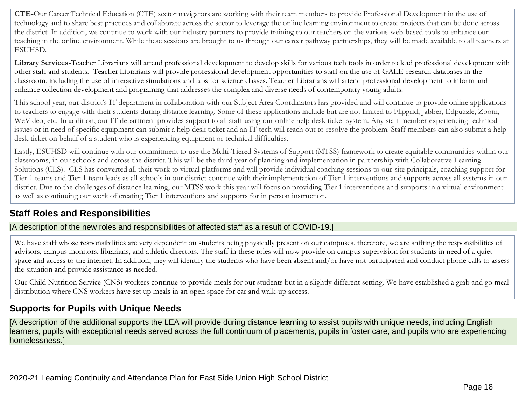**CTE-**Our Career Technical Education (CTE) sector navigators are working with their team members to provide Professional Development in the use of technology and to share best practices and collaborate across the sector to leverage the online learning environment to create projects that can be done across the district. In addition, we continue to work with our industry partners to provide training to our teachers on the various web-based tools to enhance our teaching in the online environment. While these sessions are brought to us through our career pathway partnerships, they will be made available to all teachers at ESUHSD.

**Library Services-**Teacher Librarians will attend professional development to develop skills for various tech tools in order to lead professional development with other staff and students. Teacher Librarians will provide professional development opportunities to staff on the use of GALE research databases in the classroom, including the use of interactive simulations and labs for science classes. Teacher Librarians will attend professional development to inform and enhance collection development and programing that addresses the complex and diverse needs of contemporary young adults.

This school year, our district's IT department in collaboration with our Subject Area Coordinators has provided and will continue to provide online applications to teachers to engage with their students during distance learning. Some of these applications include but are not limited to Flipgrid, Jabber, Edpuzzle, Zoom, WeVideo, etc. In addition, our IT department provides support to all staff using our online help desk ticket system. Any staff member experiencing technical issues or in need of specific equipment can submit a help desk ticket and an IT tech will reach out to resolve the problem. Staff members can also submit a help desk ticket on behalf of a student who is experiencing equipment or technical difficulties.

Lastly, ESUHSD will continue with our commitment to use the Multi-Tiered Systems of Support (MTSS) framework to create equitable communities within our classrooms, in our schools and across the district. This will be the third year of planning and implementation in partnership with Collaborative Learning Solutions (CLS). CLS has converted all their work to virtual platforms and will provide individual coaching sessions to our site principals, coaching support for Tier 1 teams and Tier 1 team leads as all schools in our district continue with their implementation of Tier 1 interventions and supports across all systems in our district. Due to the challenges of distance learning, our MTSS work this year will focus on providing Tier 1 interventions and supports in a virtual environment as well as continuing our work of creating Tier 1 interventions and supports for in person instruction.

## **Staff Roles and Responsibilities**

#### [A description of the new roles and responsibilities of affected staff as a result of COVID-19.]

We have staff whose responsibilities are very dependent on students being physically present on our campuses, therefore, we are shifting the responsibilities of advisors, campus monitors, librarians, and athletic directors. The staff in these roles will now provide on campus supervision for students in need of a quiet space and access to the internet. In addition, they will identify the students who have been absent and/or have not participated and conduct phone calls to assess the situation and provide assistance as needed.

Our Child Nutrition Service (CNS) workers continue to provide meals for our students but in a slightly different setting. We have established a grab and go meal distribution where CNS workers have set up meals in an open space for car and walk-up access.

## **Supports for Pupils with Unique Needs**

[A description of the additional supports the LEA will provide during distance learning to assist pupils with unique needs, including English learners, pupils with exceptional needs served across the full continuum of placements, pupils in foster care, and pupils who are experiencing homelessness.]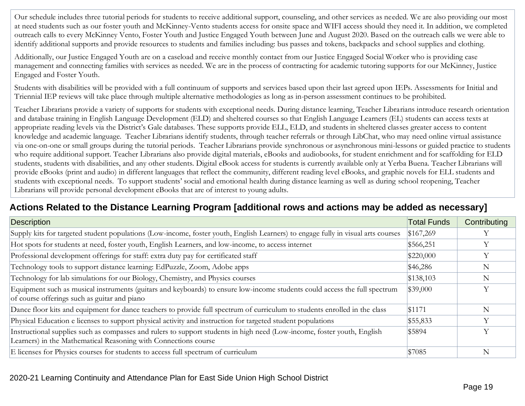Our schedule includes three tutorial periods for students to receive additional support, counseling, and other services as needed. We are also providing our most at need students such as our foster youth and McKinney-Vento students access for onsite space and WIFI access should they need it. In addition, we completed outreach calls to every McKinney Vento, Foster Youth and Justice Engaged Youth between June and August 2020. Based on the outreach calls we were able to identify additional supports and provide resources to students and families including: bus passes and tokens, backpacks and school supplies and clothing.

Additionally, our Justice Engaged Youth are on a caseload and receive monthly contact from our Justice Engaged Social Worker who is providing case management and connecting families with services as needed. We are in the process of contracting for academic tutoring supports for our McKinney, Justice Engaged and Foster Youth.

Students with disabilities will be provided with a full continuum of supports and services based upon their last agreed upon IEPs. Assessments for Initial and Triennial IEP reviews will take place through multiple alternative methodologies as long as in-person assessment continues to be prohibited.

Teacher Librarians provide a variety of supports for students with exceptional needs. During distance learning, Teacher Librarians introduce research orientation and database training in English Language Development (ELD) and sheltered courses so that English Language Learners (EL) students can access texts at appropriate reading levels via the District's Gale databases. These supports provide ELL, ELD, and students in sheltered classes greater access to content knowledge and academic language. Teacher Librarians identify students, through teacher referrals or through LibChat, who may need online virtual assistance via one-on-one or small groups during the tutorial periods. Teacher Librarians provide synchronous or asynchronous mini-lessons or guided practice to students who require additional support. Teacher Librarians also provide digital materials, eBooks and audiobooks, for student enrichment and for scaffolding for ELD students, students with disabilities, and any other students. Digital eBook access for students is currently available only at Yerba Buena. Teacher Librarians will provide eBooks (print and audio) in different languages that reflect the community, different reading level eBooks, and graphic novels for ELL students and students with exceptional needs. To support students' social and emotional health during distance learning as well as during school reopening, Teacher Librarians will provide personal development eBooks that are of interest to young adults.

### **Actions Related to the Distance Learning Program [additional rows and actions may be added as necessary]**

| <b>Description</b>                                                                                                                                                                         | <b>Total Funds</b> | Contributing |
|--------------------------------------------------------------------------------------------------------------------------------------------------------------------------------------------|--------------------|--------------|
| Supply kits for targeted student populations (Low-income, foster youth, English Learners) to engage fully in visual arts courses                                                           | \$167,269          |              |
| Hot spots for students at need, foster youth, English Learners, and low-income, to access internet                                                                                         | \$566,251          | Y            |
| Professional development offerings for staff: extra duty pay for certificated staff                                                                                                        | \$220,000          | Y            |
| Technology tools to support distance learning: EdPuzzle, Zoom, Adobe apps                                                                                                                  | \$46,286           | N            |
| Technology for lab simulations for our Biology, Chemistry, and Physics courses                                                                                                             | \$138,103          | N            |
| Equipment such as musical instruments (guitars and keyboards) to ensure low-income students could access the full spectrum<br>of course offerings such as guitar and piano                 | \$39,000           | Y            |
| Dance floor kits and equipment for dance teachers to provide full spectrum of curriculum to students enrolled in the class                                                                 | \$1171             | N            |
| Physical Education e licenses to support physical activity and instruction for targeted student populations                                                                                | \$55,833           | Y            |
| Instructional supplies such as compasses and rulers to support students in high need (Low-income, foster youth, English<br>Learners) in the Mathematical Reasoning with Connections course | \$5894             | Y            |
| E licenses for Physics courses for students to access full spectrum of curriculum                                                                                                          | \$7085             | N            |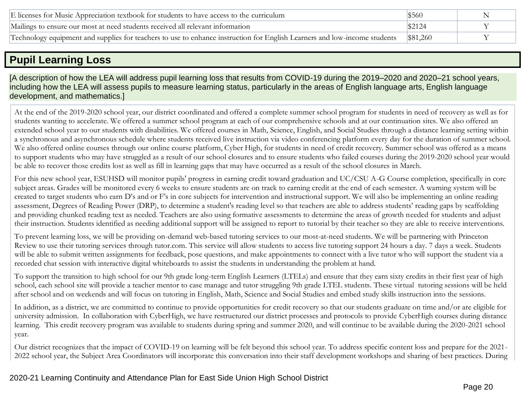| E licenses for Music Appreciation textbook for students to have access to the curriculum                                           | \$560 |  |
|------------------------------------------------------------------------------------------------------------------------------------|-------|--|
| Mailings to ensure our most at need students received all relevant information                                                     |       |  |
| Technology equipment and supplies for teachers to use to enhance instruction for English Learners and low-income students \$81,260 |       |  |

## **Pupil Learning Loss**

[A description of how the LEA will address pupil learning loss that results from COVID-19 during the 2019–2020 and 2020–21 school years, including how the LEA will assess pupils to measure learning status, particularly in the areas of English language arts, English language development, and mathematics.]

At the end of the 2019-2020 school year, our district coordinated and offered a complete summer school program for students in need of recovery as well as for students wanting to accelerate. We offered a summer school program at each of our comprehensive schools and at our continuation sites. We also offered an extended school year to our students with disabilities. We offered courses in Math, Science, English, and Social Studies through a distance learning setting within a synchronous and asynchronous schedule where students received live instruction via video conferencing platform every day for the duration of summer school. We also offered online courses through our online course platform, Cyber High, for students in need of credit recovery. Summer school was offered as a means to support students who may have struggled as a result of our school closures and to ensure students who failed courses during the 2019-2020 school year would be able to recover those credits lost as well as fill in learning gaps that may have occurred as a result of the school closures in March.

For this new school year, ESUHSD will monitor pupils' progress in earning credit toward graduation and UC/CSU A-G Course completion, specifically in core subject areas. Grades will be monitored every 6 weeks to ensure students are on track to earning credit at the end of each semester. A warning system will be created to target students who earn D's and or F's in core subjects for intervention and instructional support. We will also be implementing an online reading assessment, Degrees of Reading Power (DRP), to determine a student's reading level so that teachers are able to address students' reading gaps by scaffolding and providing chunked reading text as needed. Teachers are also using formative assessments to determine the areas of growth needed for students and adjust their instruction. Students identified as needing additional support will be assigned to report to tutorial by their teacher so they are able to receive interventions.

To prevent learning loss, we will be providing on-demand web-based tutoring services to our most-at-need students. We will be partnering with Princeton Review to use their tutoring services through tutor.com. This service will allow students to access live tutoring support 24 hours a day. 7 days a week. Students will be able to submit written assignments for feedback, pose questions, and make appointments to connect with a live tutor who will support the student via a recorded chat session with interactive digital whiteboards to assist the students in understanding the problem at hand.

To support the transition to high school for our 9th grade long-term English Learners (LTELs) and ensure that they earn sixty credits in their first year of high school, each school site will provide a teacher mentor to case manage and tutor struggling 9th grade LTEL students. These virtual tutoring sessions will be held after school and on weekends and will focus on tutoring in English, Math, Science and Social Studies and embed study skills instruction into the sessions.

In addition, as a district, we are committed to continue to provide opportunities for credit recovery so that our students graduate on time and/or are eligible for university admission. In collaboration with CyberHigh, we have restructured our district processes and protocols to provide CyberHigh courses during distance learning. This credit recovery program was available to students during spring and summer 2020, and will continue to be available during the 2020-2021 school year.

Our district recognizes that the impact of COVID-19 on learning will be felt beyond this school year. To address specific content loss and prepare for the 2021- 2022 school year, the Subject Area Coordinators will incorporate this conversation into their staff development workshops and sharing of best practices. During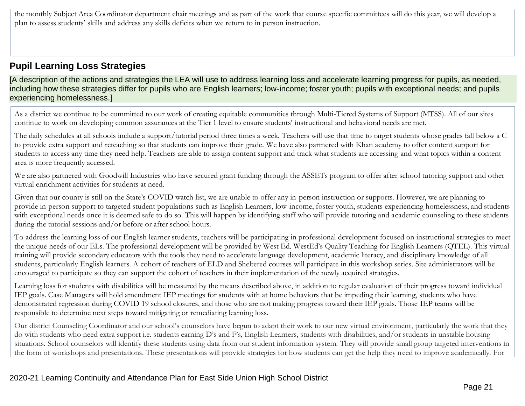the monthly Subject Area Coordinator department chair meetings and as part of the work that course specific committees will do this year, we will develop a plan to assess students' skills and address any skills deficits when we return to in person instruction.

### **Pupil Learning Loss Strategies**

[A description of the actions and strategies the LEA will use to address learning loss and accelerate learning progress for pupils, as needed, including how these strategies differ for pupils who are English learners; low-income; foster youth; pupils with exceptional needs; and pupils experiencing homelessness.]

As a district we continue to be committed to our work of creating equitable communities through Multi-Tiered Systems of Support (MTSS). All of our sites continue to work on developing common assurances at the Tier 1 level to ensure students' instructional and behavioral needs are met.

The daily schedules at all schools include a support/tutorial period three times a week. Teachers will use that time to target students whose grades fall below a C to provide extra support and reteaching so that students can improve their grade. We have also partnered with Khan academy to offer content support for students to access any time they need help. Teachers are able to assign content support and track what students are accessing and what topics within a content area is more frequently accessed.

We are also partnered with Goodwill Industries who have secured grant funding through the ASSETs program to offer after school tutoring support and other virtual enrichment activities for students at need.

Given that our county is still on the State's COVID watch list, we are unable to offer any in-person instruction or supports. However, we are planning to provide in-person support to targeted student populations such as English Learners, low-income, foster youth, students experiencing homelessness, and students with exceptional needs once it is deemed safe to do so. This will happen by identifying staff who will provide tutoring and academic counseling to these students during the tutorial sessions and/or before or after school hours.

To address the learning loss of our English learner students, teachers will be participating in professional development focused on instructional strategies to meet the unique needs of our ELs. The professional development will be provided by West Ed. WestEd's Quality Teaching for English Learners (QTEL). This virtual training will provide secondary educators with the tools they need to accelerate language development, academic literacy, and disciplinary knowledge of all students, particularly English learners. A cohort of teachers of ELD and Sheltered courses will participate in this workshop series. Site administrators will be encouraged to participate so they can support the cohort of teachers in their implementation of the newly acquired strategies.

Learning loss for students with disabilities will be measured by the means described above, in addition to regular evaluation of their progress toward individual IEP goals. Case Managers will hold amendment IEP meetings for students with at home behaviors that be impeding their learning, students who have demonstrated regression during COVID 19 school closures, and those who are not making progress toward their IEP goals. Those IEP teams will be responsible to determine next steps toward mitigating or remediating learning loss.

Our district Counseling Coordinator and our school's counselors have begun to adapt their work to our new virtual environment, particularly the work that they do with students who need extra support i.e. students earning D's and F's, English Learners, students with disabilities, and/or students in unstable housing situations. School counselors will identify these students using data from our student information system. They will provide small group targeted interventions in the form of workshops and presentations. These presentations will provide strategies for how students can get the help they need to improve academically. For

#### 2020-21 Learning Continuity and Attendance Plan for East Side Union High School District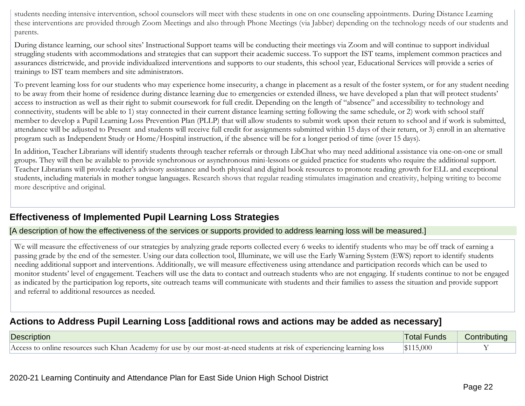students needing intensive intervention, school counselors will meet with these students in one on one counseling appointments. During Distance Learning these interventions are provided through Zoom Meetings and also through Phone Meetings (via Jabber) depending on the technology needs of our students and parents.

During distance learning, our school sites' Instructional Support teams will be conducting their meetings via Zoom and will continue to support individual struggling students with accommodations and strategies that can support their academic success. To support the IST teams, implement common practices and assurances districtwide, and provide individualized interventions and supports to our students, this school year, Educational Services will provide a series of trainings to IST team members and site administrators.

To prevent learning loss for our students who may experience home insecurity, a change in placement as a result of the foster system, or for any student needing to be away from their home of residence during distance learning due to emergencies or extended illness, we have developed a plan that will protect students' access to instruction as well as their right to submit coursework for full credit. Depending on the length of "absence" and accessibility to technology and connectivity, students will be able to 1) stay connected in their current distance learning setting following the same schedule, or 2) work with school staff member to develop a Pupil Learning Loss Prevention Plan (PLLP) that will allow students to submit work upon their return to school and if work is submitted, attendance will be adjusted to Present and students will receive full credit for assignments submitted within 15 days of their return, or 3) enroll in an alternative program such as Independent Study or Home/Hospital instruction, if the absence will be for a longer period of time (over 15 days).

In addition, Teacher Librarians will identify students through teacher referrals or through LibChat who may need additional assistance via one-on-one or small groups. They will then be available to provide synchronous or asynchronous mini-lessons or guided practice for students who require the additional support. Teacher Librarians will provide reader's advisory assistance and both physical and digital book resources to promote reading growth for ELL and exceptional students, including materials in mother tongue languages. Research shows that regular reading stimulates imagination and creativity, helping writing to become more descriptive and original.

### **Effectiveness of Implemented Pupil Learning Loss Strategies**

#### [A description of how the effectiveness of the services or supports provided to address learning loss will be measured.]

We will measure the effectiveness of our strategies by analyzing grade reports collected every 6 weeks to identify students who may be off track of earning a passing grade by the end of the semester. Using our data collection tool, Illuminate, we will use the Early Warning System (EWS) report to identify students needing additional support and interventions. Additionally, we will measure effectiveness using attendance and participation records which can be used to monitor students' level of engagement. Teachers will use the data to contact and outreach students who are not engaging. If students continue to not be engaged as indicated by the participation log reports, site outreach teams will communicate with students and their families to assess the situation and provide support and referral to additional resources as needed.

### **Actions to Address Pupil Learning Loss [additional rows and actions may be added as necessary]**

| Description                                                                                                                                                                        | unds-<br>i otal | ibutinc    |
|------------------------------------------------------------------------------------------------------------------------------------------------------------------------------------|-----------------|------------|
| . Academy '<br>-loss<br>students.<br>tor use by our most-at-need :<br>$\lq$ experiencing<br>-K han<br>learning<br>Acces<br>-at risk<br>resources such<br>് വ<br>റവ <sub>ന്</sub> ല | 5,000           | <b>T</b> 7 |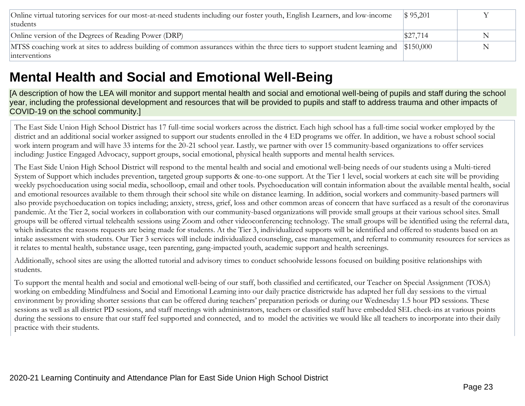| Online virtual tutoring services for our most-at-need students including our foster youth, English Learners, and low-income           | $\$ 95,201$ |   |
|---------------------------------------------------------------------------------------------------------------------------------------|-------------|---|
| students                                                                                                                              |             |   |
| Online version of the Degrees of Reading Power (DRP)                                                                                  | \$27,714    |   |
| MTSS coaching work at sites to address building of common assurances within the three tiers to support student learning and \$150,000 |             | N |
| interventions                                                                                                                         |             |   |

## **Mental Health and Social and Emotional Well-Being**

[A description of how the LEA will monitor and support mental health and social and emotional well-being of pupils and staff during the school year, including the professional development and resources that will be provided to pupils and staff to address trauma and other impacts of COVID-19 on the school community.]

The East Side Union High School District has 17 full-time social workers across the district. Each high school has a full-time social worker employed by the district and an additional social worker assigned to support our students enrolled in the 4 ED programs we offer. In addition, we have a robust school social work intern program and will have 33 interns for the 20-21 school year. Lastly, we partner with over 15 community-based organizations to offer services including: Justice Engaged Advocacy, support groups, social emotional, physical health supports and mental health services.

The East Side Union High School District will respond to the mental health and social and emotional well-being needs of our students using a Multi-tiered System of Support which includes prevention, targeted group supports & one-to-one support. At the Tier 1 level, social workers at each site will be providing weekly psychoeducation using social media, schoolloop, email and other tools. Psychoeducation will contain information about the available mental health, social and emotional resources available to them through their school site while on distance learning. In addition, social workers and community-based partners will also provide psychoeducation on topics including; anxiety, stress, grief, loss and other common areas of concern that have surfaced as a result of the coronavirus pandemic. At the Tier 2, social workers in collaboration with our community-based organizations will provide small groups at their various school sites. Small groups will be offered virtual telehealth sessions using Zoom and other videoconferencing technology. The small groups will be identified using the referral data, which indicates the reasons requests are being made for students. At the Tier 3, individualized supports will be identified and offered to students based on an intake assessment with students. Our Tier 3 services will include individualized counseling, case management, and referral to community resources for services as it relates to mental health, substance usage, teen parenting, gang-impacted youth, academic support and health screenings.

Additionally, school sites are using the allotted tutorial and advisory times to conduct schoolwide lessons focused on building positive relationships with students.

To support the mental health and social and emotional well-being of our staff, both classified and certificated, our Teacher on Special Assignment (TOSA) working on embedding Mindfulness and Social and Emotional Learning into our daily practice districtwide has adapted her full day sessions to the virtual environment by providing shorter sessions that can be offered during teachers' preparation periods or during our Wednesday 1.5 hour PD sessions. These sessions as well as all district PD sessions, and staff meetings with administrators, teachers or classified staff have embedded SEL check-ins at various points during the sessions to ensure that our staff feel supported and connected, and to model the activities we would like all teachers to incorporate into their daily practice with their students.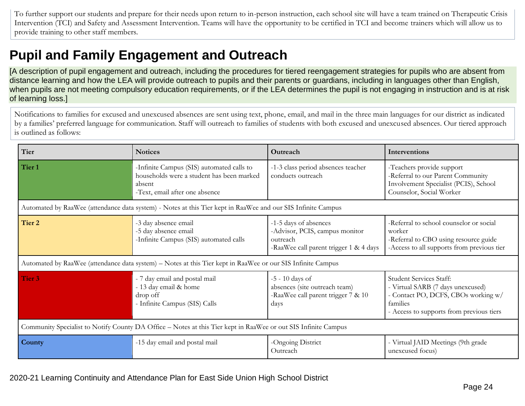To further support our students and prepare for their needs upon return to in-person instruction, each school site will have a team trained on Therapeutic Crisis Intervention (TCI) and Safety and Assessment Intervention. Teams will have the opportunity to be certified in TCI and become trainers which will allow us to provide training to other staff members.

## **Pupil and Family Engagement and Outreach**

[A description of pupil engagement and outreach, including the procedures for tiered reengagement strategies for pupils who are absent from distance learning and how the LEA will provide outreach to pupils and their parents or guardians, including in languages other than English, when pupils are not meeting compulsory education requirements, or if the LEA determines the pupil is not engaging in instruction and is at risk of learning loss.]

Notifications to families for excused and unexcused absences are sent using text, phone, email, and mail in the three main languages for our district as indicated by a families' preferred language for communication. Staff will outreach to families of students with both excused and unexcused absences. Our tiered approach is outlined as follows:

| Tier                                                                                                           | <b>Notices</b>                                                                                                                     | Outreach                                                                                                      | Interventions                                                                                                                                               |  |
|----------------------------------------------------------------------------------------------------------------|------------------------------------------------------------------------------------------------------------------------------------|---------------------------------------------------------------------------------------------------------------|-------------------------------------------------------------------------------------------------------------------------------------------------------------|--|
| Tier 1                                                                                                         | -Infinite Campus (SIS) automated calls to<br>households were a student has been marked<br>absent<br>-Text, email after one absence | -1-3 class period absences teacher<br>conducts outreach                                                       | -Teachers provide support<br>-Referral to our Parent Community<br>Involvement Specialist (PCIS), School<br>Counselor, Social Worker                         |  |
|                                                                                                                | Automated by RaaWee (attendance data system) - Notes at this Tier kept in RaaWee and our SIS Infinite Campus                       |                                                                                                               |                                                                                                                                                             |  |
| Tier 2                                                                                                         | -3 day absence email<br>-5 day absence email<br>-Infinite Campus (SIS) automated calls                                             | -1-5 days of absences<br>-Advisor, PCIS, campus monitor<br>outreach<br>-RaaWee call parent trigger 1 & 4 days | -Referral to school counselor or social<br>worker<br>-Referral to CBO using resource guide<br>-Access to all supports from previous tier                    |  |
| Automated by RaaWee (attendance data system) – Notes at this Tier kept in RaaWee or our SIS Infinite Campus    |                                                                                                                                    |                                                                                                               |                                                                                                                                                             |  |
| Tier 3                                                                                                         | - 7 day email and postal mail<br>- 13 day email & home<br>drop off<br>- Infinite Campus (SIS) Calls                                | $-5 - 10$ days of<br>absences (site outreach team)<br>-RaaWee call parent trigger 7 & 10<br>days              | Student Services Staff:<br>- Virtual SARB (7 days unexcused)<br>- Contact PO, DCFS, CBOs working w/<br>families<br>- Access to supports from previous tiers |  |
| Community Specialist to Notify County DA Office – Notes at this Tier kept in RaaWee or out SIS Infinite Campus |                                                                                                                                    |                                                                                                               |                                                                                                                                                             |  |
| County                                                                                                         | -15 day email and postal mail                                                                                                      | -Ongoing District<br>Outreach                                                                                 | - Virtual JAID Meetings (9th grade<br>unexcused focus)                                                                                                      |  |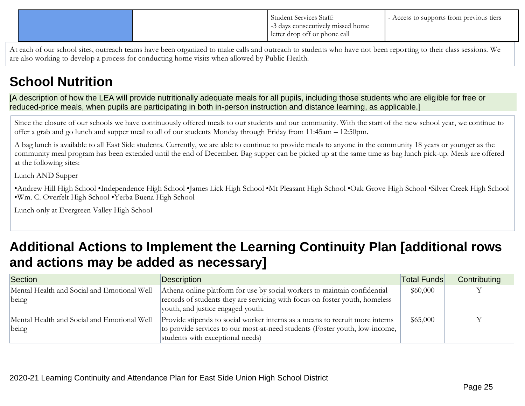|  | Student Services Staff:<br>-3 days consecutively missed home<br>letter drop off or phone call | Access to supports from previous tiers |
|--|-----------------------------------------------------------------------------------------------|----------------------------------------|
|  |                                                                                               |                                        |

At each of our school sites, outreach teams have been organized to make calls and outreach to students who have not been reporting to their class sessions. We are also working to develop a process for conducting home visits when allowed by Public Health.

## **School Nutrition**

[A description of how the LEA will provide nutritionally adequate meals for all pupils, including those students who are eligible for free or reduced-price meals, when pupils are participating in both in-person instruction and distance learning, as applicable.]

Since the closure of our schools we have continuously offered meals to our students and our community. With the start of the new school year, we continue to offer a grab and go lunch and supper meal to all of our students Monday through Friday from 11:45am – 12:50pm.

A bag lunch is available to all East Side students. Currently, we are able to continue to provide meals to anyone in the community 18 years or younger as the community meal program has been extended until the end of December. Bag supper can be picked up at the same time as bag lunch pick-up. Meals are offered at the following sites:

Lunch AND Supper

•Andrew Hill High School •Independence High School •James Lick High School •Mt Pleasant High School •Oak Grove High School •Silver Creek High School •Wm. C. Overfelt High School •Yerba Buena High School

Lunch only at Evergreen Valley High School

## **Additional Actions to Implement the Learning Continuity Plan [additional rows and actions may be added as necessary]**

| Section                                     | Description                                                                  | Total Funds | Contributing |
|---------------------------------------------|------------------------------------------------------------------------------|-------------|--------------|
| Mental Health and Social and Emotional Well | Athena online platform for use by social workers to maintain confidential    | \$60,000    |              |
| being                                       | records of students they are servicing with focus on foster youth, homeless  |             |              |
|                                             | youth, and justice engaged youth.                                            |             |              |
| Mental Health and Social and Emotional Well | Provide stipends to social worker interns as a means to recruit more interns | \$65,000    |              |
| being                                       | to provide services to our most-at-need students (Foster youth, low-income,  |             |              |
|                                             | students with exceptional needs)                                             |             |              |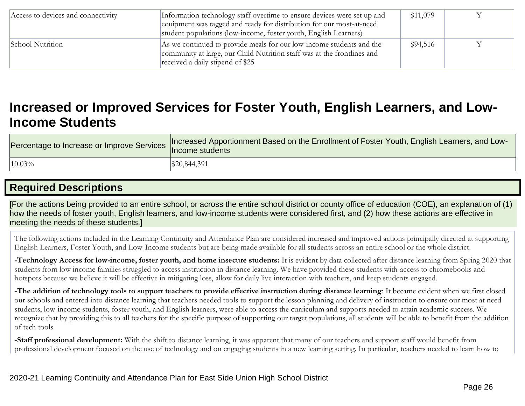| Access to devices and connectivity | Information technology staff overtime to ensure devices were set up and<br>equipment was tagged and ready for distribution for our most-at-need<br>student populations (low-income, foster youth, English Learners) | \$11,079 |  |
|------------------------------------|---------------------------------------------------------------------------------------------------------------------------------------------------------------------------------------------------------------------|----------|--|
| School Nutrition                   | As we continued to provide meals for our low-income students and the<br>community at large, our Child Nutrition staff was at the frontlines and<br>received a daily stipend of \$25                                 | \$94,516 |  |

## **Increased or Improved Services for Foster Youth, English Learners, and Low-Income Students**

| rercentage to Increase or Improve Services   Income students | Increased Apportionment Based on the Enrollment of Foster Youth, English Learners, and Low- |
|--------------------------------------------------------------|---------------------------------------------------------------------------------------------|
| 10.03%                                                       | \$20,844,391                                                                                |

## **Required Descriptions**

[For the actions being provided to an entire school, or across the entire school district or county office of education (COE), an explanation of (1) how the needs of foster youth, English learners, and low-income students were considered first, and (2) how these actions are effective in meeting the needs of these students.]

The following actions included in the Learning Continuity and Attendance Plan are considered increased and improved actions principally directed at supporting English Learners, Foster Youth, and Low-Income students but are being made available for all students across an entire school or the whole district.

**-Technology Access for low-income, foster youth, and home insecure students:** It is evident by data collected after distance learning from Spring 2020 that students from low income families struggled to access instruction in distance learning. We have provided these students with access to chromebooks and hotspots because we believe it will be effective in mitigating loss, allow for daily live interaction with teachers, and keep students engaged.

**-The addition of technology tools to support teachers to provide effective instruction during distance learning**: It became evident when we first closed our schools and entered into distance learning that teachers needed tools to support the lesson planning and delivery of instruction to ensure our most at need students, low-income students, foster youth, and English learners, were able to access the curriculum and supports needed to attain academic success. We recognize that by providing this to all teachers for the specific purpose of supporting our target populations, all students will be able to benefit from the addition of tech tools.

**-Staff professional development:** With the shift to distance learning, it was apparent that many of our teachers and support staff would benefit from professional development focused on the use of technology and on engaging students in a new learning setting. In particular, teachers needed to learn how to